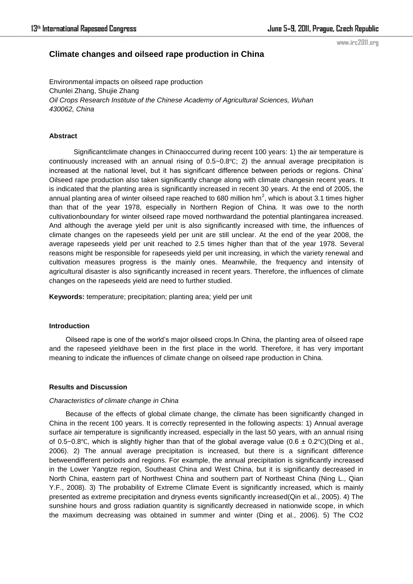# **Climate changes and oilseed rape production in China**

www.irc2011.org

Environmental impacts on oilseed rape production Chunlei Zhang, Shujie Zhang *Oil Crops Research Institute of the Chinese Academy of Agricultural Sciences, Wuhan 430062, China*

### **Abstract**

Significantclimate changes in Chinaoccurred during recent 100 years: 1) the air temperature is continuously increased with an annual rising of 0.5~0.8℃; 2) the annual average precipitation is increased at the national level, but it has significant difference between periods or regions. China' Oilseed rape production also taken significantly change along with climate changesin recent years. It is indicated that the planting area is significantly increased in recent 30 years. At the end of 2005, the annual planting area of winter oilseed rape reached to 680 million hm<sup>2</sup>, which is about 3.1 times higher than that of the year 1978, especially in Northern Region of China. It was owe to the north cultivationboundary for winter oilseed rape moved northwardand the potential plantingarea increased. And although the average yield per unit is also significantly increased with time, the influences of climate changes on the rapeseeds yield per unit are still unclear. At the end of the year 2008, the average rapeseeds yield per unit reached to 2.5 times higher than that of the year 1978. Several reasons might be responsible for rapeseeds yield per unit increasing, in which the variety renewal and cultivation measures progress is the mainly ones. Meanwhile, the frequency and intensity of agricultural disaster is also significantly increased in recent years. Therefore, the influences of climate changes on the rapeseeds yield are need to further studied.

**Keywords:** temperature; precipitation; planting area; yield per unit

### **Introduction**

Oilseed rape is one of the world's major oilseed crops.In China, the planting area of oilseed rape and the rapeseed yieldhave been in the first place in the world. Therefore, it has very important meaning to indicate the influences of climate change on oilseed rape production in China.

#### **Results and Discussion**

#### *Characteristics of climate change in China*

Because of the effects of global climate change, the climate has been significantly changed in China in the recent 100 years. It is correctly represented in the following aspects: 1) Annual average surface air temperature is significantly increased, especially in the last 50 years, with an annual rising of 0.5~0.8℃, which is slightly higher than that of the global average value (0.6 ± 0.2°C)(Ding et al., 2006). 2) The annual average precipitation is increased, but there is a significant difference betweendifferent periods and regions. For example, the annual precipitation is significantly increased in the Lower Yangtze region, Southeast China and West China, but it is significantly decreased in North China, eastern part of Northwest China and southern part of Northeast China (Ning L., Qian Y.F., 2008). 3) The probability of Extreme Climate Event is significantly increased, which is mainly presented as extreme precipitation and dryness events significantly increased(Qin et al., 2005). 4) The sunshine hours and gross radiation quantity is significantly decreased in nationwide scope, in which the maximum decreasing was obtained in summer and winter (Ding et al., 2006). 5) The CO2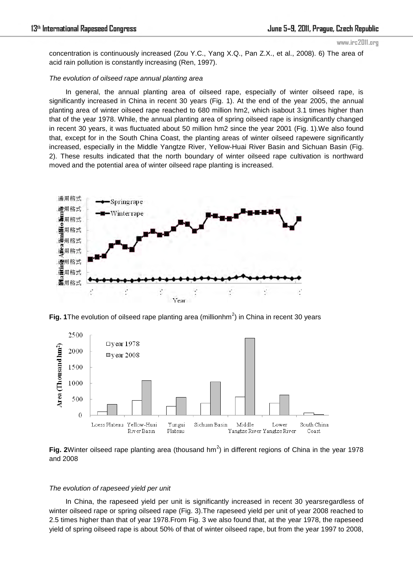www.irc2011.org

concentration is continuously increased (Zou Y.C., Yang X.Q., Pan Z.X., et al., 2008). 6) The area of acid rain pollution is constantly increasing (Ren, 1997).

# *The evolution of oilseed rape annual planting area*

In general, the annual planting area of oilseed rape, especially of winter oilseed rape, is significantly increased in China in recent 30 years (Fig. 1). At the end of the year 2005, the annual planting area of winter oilseed rape reached to 680 million hm2, which isabout 3.1 times higher than that of the year 1978. While, the annual planting area of spring oilseed rape is insignificantly changed in recent 30 years, it was fluctuated about 50 million hm2 since the year 2001 (Fig. 1).We also found that, except for in the South China Coast, the planting areas of winter oilseed rapewere significantly increased, especially in the Middle Yangtze River, Yellow-Huai River Basin and Sichuan Basin (Fig. 2). These results indicated that the north boundary of winter oilseed rape cultivation is northward moved and the potential area of winter oilseed rape planting is increased.



Fig. 1 The evolution of oilseed rape planting area (millionhm<sup>2</sup>) in China in recent 30 years



Fig. 2Winter oilseed rape planting area (thousand hm<sup>2</sup>) in different regions of China in the year 1978 and 2008

## *The evolution of rapeseed yield per unit*

In China, the rapeseed yield per unit is significantly increased in recent 30 yearsregardless of winter oilseed rape or spring oilseed rape (Fig. 3).The rapeseed yield per unit of year 2008 reached to 2.5 times higher than that of year 1978.From Fig. 3 we also found that, at the year 1978, the rapeseed yield of spring oilseed rape is about 50% of that of winter oilseed rape, but from the year 1997 to 2008,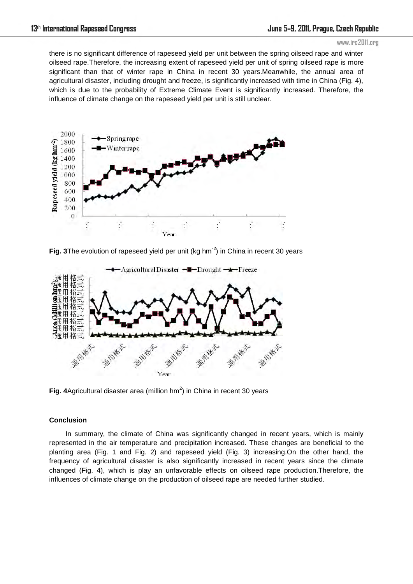#### www.irc2011.org

there is no significant difference of rapeseed yield per unit between the spring oilseed rape and winter oilseed rape.Therefore, the increasing extent of rapeseed yield per unit of spring oilseed rape is more significant than that of winter rape in China in recent 30 years.Meanwhile, the annual area of agricultural disaster, including drought and freeze, is significantly increased with time in China (Fig. 4), which is due to the probability of Extreme Climate Event is significantly increased. Therefore, the influence of climate change on the rapeseed yield per unit is still unclear.



Fig. 3The evolution of rapeseed yield per unit (kg hm<sup>-2</sup>) in China in recent 30 years



Fig. 4 Agricultural disaster area (million  $hm^2$ ) in China in recent 30 years

# **Conclusion**

In summary, the climate of China was significantly changed in recent years, which is mainly represented in the air temperature and precipitation increased. These changes are beneficial to the planting area (Fig. 1 and Fig. 2) and rapeseed yield (Fig. 3) increasing.On the other hand, the frequency of agricultural disaster is also significantly increased in recent years since the climate changed (Fig. 4), which is play an unfavorable effects on oilseed rape production.Therefore, the influences of climate change on the production of oilseed rape are needed further studied.